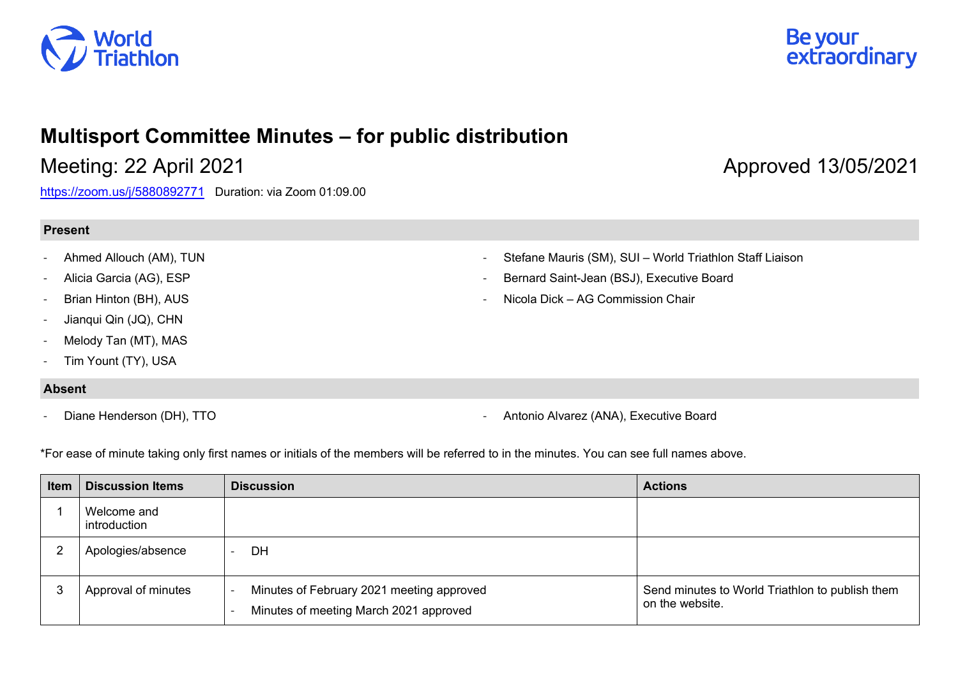



## **Multisport Committee Minutes – for public distribution**

<https://zoom.us/j/5880892771>Duration: via Zoom 01:09.00

## **Present**

- Ahmed Allouch (AM), TUN
- Alicia Garcia (AG), ESP
- Brian Hinton (BH), AUS
- Jianqui Qin (JQ), CHN
- Melody Tan (MT), MAS
- Tim Yount (TY), USA

## **Absent**

- Stefane Mauris (SM), SUI World Triathlon Staff Liaison
- Bernard Saint-Jean (BSJ), Executive Board
- Nicola Dick AG Commission Chair

- Diane Henderson (DH), TTO **- Antonio Alvarez (ANA), Executive Board** - Antonio Alvarez (ANA), Executive Board

\*For ease of minute taking only first names or initials of the members will be referred to in the minutes. You can see full names above.

| <b>Item</b> | <b>Discussion Items</b>     | <b>Discussion</b>                                                                   | <b>Actions</b>                                                     |
|-------------|-----------------------------|-------------------------------------------------------------------------------------|--------------------------------------------------------------------|
|             | Welcome and<br>introduction |                                                                                     |                                                                    |
| 2           | Apologies/absence           | DH                                                                                  |                                                                    |
| 3           | Approval of minutes         | Minutes of February 2021 meeting approved<br>Minutes of meeting March 2021 approved | Send minutes to World Triathlon to publish them<br>on the website. |

## Meeting: 22 April 2021 **Approved 13/05/2021** Approved 13/05/2021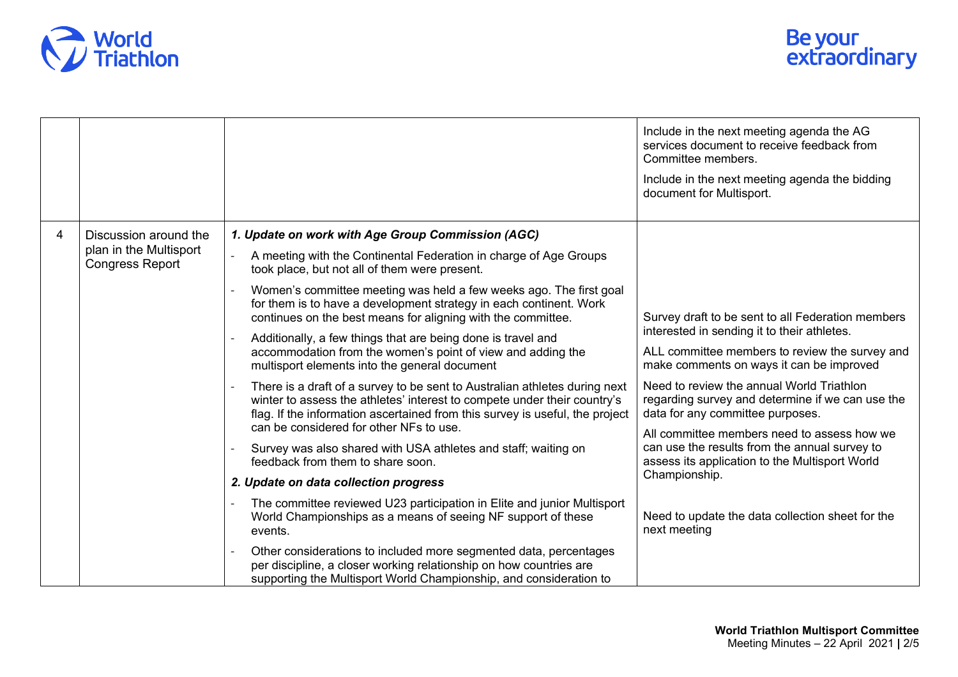

|   |                                                                           |                                                                                                                                                                                                                                                                                   | Include in the next meeting agenda the AG<br>services document to receive feedback from<br>Committee members.<br>Include in the next meeting agenda the bidding<br>document for Multisport. |
|---|---------------------------------------------------------------------------|-----------------------------------------------------------------------------------------------------------------------------------------------------------------------------------------------------------------------------------------------------------------------------------|---------------------------------------------------------------------------------------------------------------------------------------------------------------------------------------------|
| 4 | Discussion around the<br>plan in the Multisport<br><b>Congress Report</b> | 1. Update on work with Age Group Commission (AGC)                                                                                                                                                                                                                                 |                                                                                                                                                                                             |
|   |                                                                           | A meeting with the Continental Federation in charge of Age Groups<br>took place, but not all of them were present.                                                                                                                                                                |                                                                                                                                                                                             |
|   |                                                                           | Women's committee meeting was held a few weeks ago. The first goal<br>for them is to have a development strategy in each continent. Work<br>continues on the best means for aligning with the committee.                                                                          | Survey draft to be sent to all Federation members                                                                                                                                           |
|   |                                                                           | Additionally, a few things that are being done is travel and<br>accommodation from the women's point of view and adding the<br>multisport elements into the general document                                                                                                      | interested in sending it to their athletes.<br>ALL committee members to review the survey and<br>make comments on ways it can be improved                                                   |
|   |                                                                           | There is a draft of a survey to be sent to Australian athletes during next<br>winter to assess the athletes' interest to compete under their country's<br>flag. If the information ascertained from this survey is useful, the project<br>can be considered for other NFs to use. | Need to review the annual World Triathlon<br>regarding survey and determine if we can use the<br>data for any committee purposes.<br>All committee members need to assess how we            |
|   |                                                                           | Survey was also shared with USA athletes and staff; waiting on<br>feedback from them to share soon.                                                                                                                                                                               | can use the results from the annual survey to<br>assess its application to the Multisport World                                                                                             |
|   |                                                                           | 2. Update on data collection progress                                                                                                                                                                                                                                             | Championship.                                                                                                                                                                               |
|   |                                                                           | The committee reviewed U23 participation in Elite and junior Multisport<br>World Championships as a means of seeing NF support of these<br>events.                                                                                                                                | Need to update the data collection sheet for the<br>next meeting                                                                                                                            |
|   |                                                                           | Other considerations to included more segmented data, percentages<br>per discipline, a closer working relationship on how countries are<br>supporting the Multisport World Championship, and consideration to                                                                     |                                                                                                                                                                                             |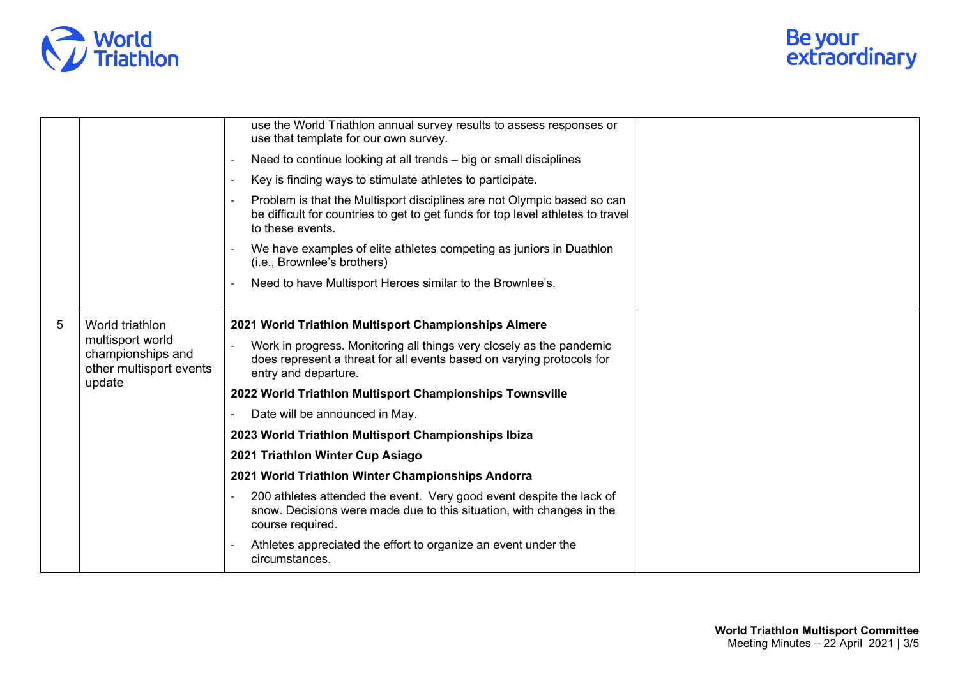

|   |                                                                                               | use the World Triathlon annual survey results to assess responses or<br>use that template for our own survey.                                                                  |  |
|---|-----------------------------------------------------------------------------------------------|--------------------------------------------------------------------------------------------------------------------------------------------------------------------------------|--|
|   |                                                                                               | Need to continue looking at all trends - big or small disciplines                                                                                                              |  |
|   |                                                                                               | Key is finding ways to stimulate athletes to participate.                                                                                                                      |  |
|   |                                                                                               | Problem is that the Multisport disciplines are not Olympic based so can<br>be difficult for countries to get to get funds for top level athletes to travel<br>to these events. |  |
|   |                                                                                               | We have examples of elite athletes competing as juniors in Duathlon<br>(i.e., Brownlee's brothers)                                                                             |  |
|   |                                                                                               | Need to have Multisport Heroes similar to the Brownlee's.                                                                                                                      |  |
| 5 | World triathlon<br>multisport world<br>championships and<br>other multisport events<br>update | 2021 World Triathlon Multisport Championships Almere                                                                                                                           |  |
|   |                                                                                               | Work in progress. Monitoring all things very closely as the pandemic<br>does represent a threat for all events based on varying protocols for<br>entry and departure.          |  |
|   |                                                                                               | 2022 World Triathlon Multisport Championships Townsville                                                                                                                       |  |
|   |                                                                                               | Date will be announced in May.                                                                                                                                                 |  |
|   |                                                                                               | 2023 World Triathlon Multisport Championships Ibiza                                                                                                                            |  |
|   |                                                                                               | 2021 Triathlon Winter Cup Asiago                                                                                                                                               |  |
|   |                                                                                               | 2021 World Triathlon Winter Championships Andorra                                                                                                                              |  |
|   |                                                                                               | 200 athletes attended the event. Very good event despite the lack of<br>snow. Decisions were made due to this situation, with changes in the<br>course required.               |  |
|   |                                                                                               | Athletes appreciated the effort to organize an event under the<br>circumstances.                                                                                               |  |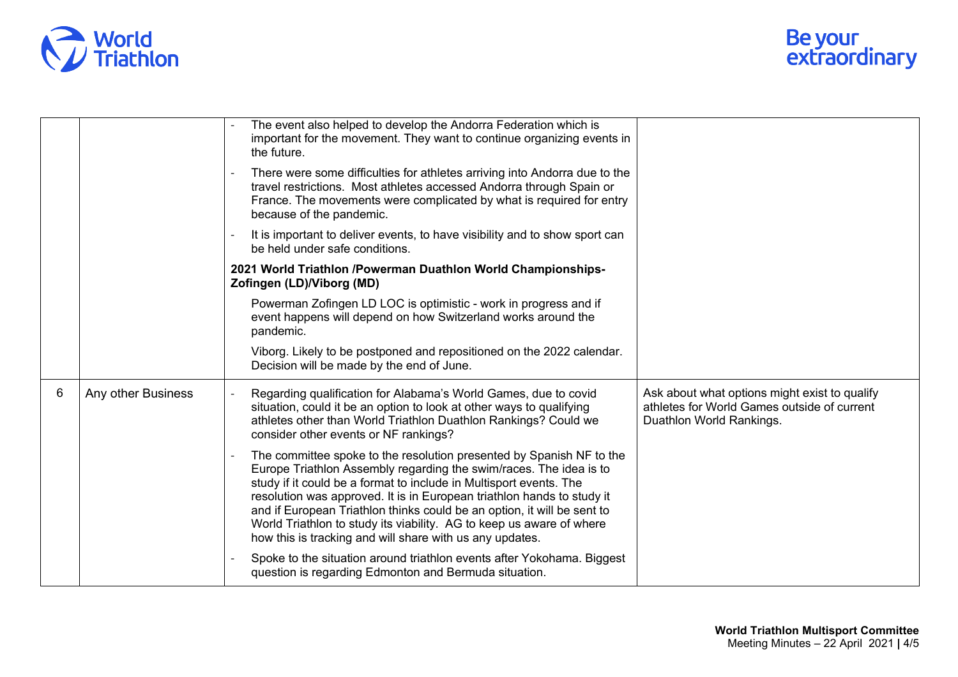

|   |                    | The event also helped to develop the Andorra Federation which is<br>important for the movement. They want to continue organizing events in<br>the future.                                                                                                                                                                                                                                                                                                                                                 |  |
|---|--------------------|-----------------------------------------------------------------------------------------------------------------------------------------------------------------------------------------------------------------------------------------------------------------------------------------------------------------------------------------------------------------------------------------------------------------------------------------------------------------------------------------------------------|--|
|   |                    | There were some difficulties for athletes arriving into Andorra due to the<br>travel restrictions. Most athletes accessed Andorra through Spain or<br>France. The movements were complicated by what is required for entry<br>because of the pandemic.                                                                                                                                                                                                                                                    |  |
|   |                    | It is important to deliver events, to have visibility and to show sport can<br>be held under safe conditions.                                                                                                                                                                                                                                                                                                                                                                                             |  |
|   |                    | 2021 World Triathlon /Powerman Duathlon World Championships-<br>Zofingen (LD)/Viborg (MD)                                                                                                                                                                                                                                                                                                                                                                                                                 |  |
|   |                    | Powerman Zofingen LD LOC is optimistic - work in progress and if<br>event happens will depend on how Switzerland works around the<br>pandemic.                                                                                                                                                                                                                                                                                                                                                            |  |
|   |                    | Viborg. Likely to be postponed and repositioned on the 2022 calendar.<br>Decision will be made by the end of June.                                                                                                                                                                                                                                                                                                                                                                                        |  |
| 6 | Any other Business | Regarding qualification for Alabama's World Games, due to covid<br>Ask about what options might exist to qualify<br>athletes for World Games outside of current<br>situation, could it be an option to look at other ways to qualifying<br>athletes other than World Triathlon Duathlon Rankings? Could we<br>Duathlon World Rankings.<br>consider other events or NF rankings?                                                                                                                           |  |
|   |                    | The committee spoke to the resolution presented by Spanish NF to the<br>Europe Triathlon Assembly regarding the swim/races. The idea is to<br>study if it could be a format to include in Multisport events. The<br>resolution was approved. It is in European triathlon hands to study it<br>and if European Triathlon thinks could be an option, it will be sent to<br>World Triathlon to study its viability. AG to keep us aware of where<br>how this is tracking and will share with us any updates. |  |
|   |                    | Spoke to the situation around triathlon events after Yokohama. Biggest<br>question is regarding Edmonton and Bermuda situation.                                                                                                                                                                                                                                                                                                                                                                           |  |